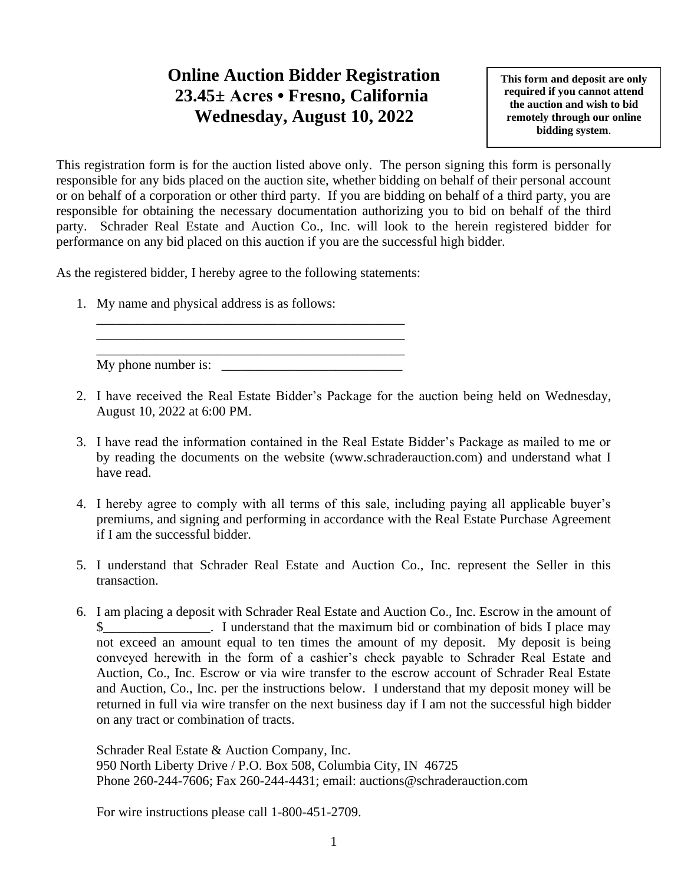## **Online Auction Bidder Registration 23.45± Acres • Fresno, California Wednesday, August 10, 2022**

**This form and deposit are only required if you cannot attend the auction and wish to bid remotely through our online bidding system**.

This registration form is for the auction listed above only. The person signing this form is personally responsible for any bids placed on the auction site, whether bidding on behalf of their personal account or on behalf of a corporation or other third party. If you are bidding on behalf of a third party, you are responsible for obtaining the necessary documentation authorizing you to bid on behalf of the third party. Schrader Real Estate and Auction Co., Inc. will look to the herein registered bidder for performance on any bid placed on this auction if you are the successful high bidder.

As the registered bidder, I hereby agree to the following statements:

\_\_\_\_\_\_\_\_\_\_\_\_\_\_\_\_\_\_\_\_\_\_\_\_\_\_\_\_\_\_\_\_\_\_\_\_\_\_\_\_\_\_\_\_\_\_ \_\_\_\_\_\_\_\_\_\_\_\_\_\_\_\_\_\_\_\_\_\_\_\_\_\_\_\_\_\_\_\_\_\_\_\_\_\_\_\_\_\_\_\_\_\_

1. My name and physical address is as follows:

\_\_\_\_\_\_\_\_\_\_\_\_\_\_\_\_\_\_\_\_\_\_\_\_\_\_\_\_\_\_\_\_\_\_\_\_\_\_\_\_\_\_\_\_\_\_ My phone number is:

- 2. I have received the Real Estate Bidder's Package for the auction being held on Wednesday, August 10, 2022 at 6:00 PM.
- 3. I have read the information contained in the Real Estate Bidder's Package as mailed to me or by reading the documents on the website (www.schraderauction.com) and understand what I have read.
- 4. I hereby agree to comply with all terms of this sale, including paying all applicable buyer's premiums, and signing and performing in accordance with the Real Estate Purchase Agreement if I am the successful bidder.
- 5. I understand that Schrader Real Estate and Auction Co., Inc. represent the Seller in this transaction.
- 6. I am placing a deposit with Schrader Real Estate and Auction Co., Inc. Escrow in the amount of I understand that the maximum bid or combination of bids I place may not exceed an amount equal to ten times the amount of my deposit. My deposit is being conveyed herewith in the form of a cashier's check payable to Schrader Real Estate and Auction, Co., Inc. Escrow or via wire transfer to the escrow account of Schrader Real Estate and Auction, Co., Inc. per the instructions below. I understand that my deposit money will be returned in full via wire transfer on the next business day if I am not the successful high bidder on any tract or combination of tracts.

Schrader Real Estate & Auction Company, Inc. 950 North Liberty Drive / P.O. Box 508, Columbia City, IN 46725 Phone 260-244-7606; Fax 260-244-4431; email: auctions@schraderauction.com

For wire instructions please call 1-800-451-2709.